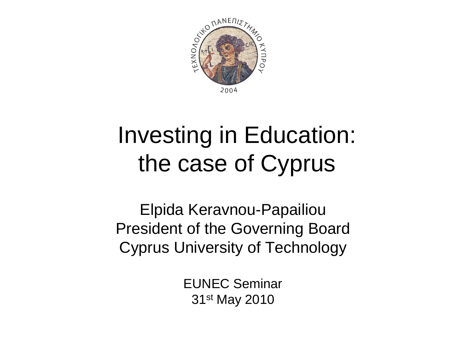

## Investing in Education: the case of Cyprus

Elpida Keravnou-Papailiou President of the Governing Board Cyprus University of Technology

> EUNEC Seminar 31st May 2010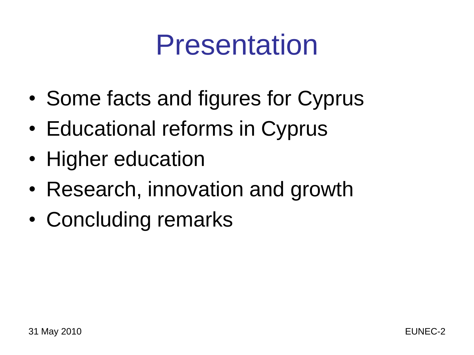## Presentation

- Some facts and figures for Cyprus
- Educational reforms in Cyprus
- Higher education
- Research, innovation and growth
- Concluding remarks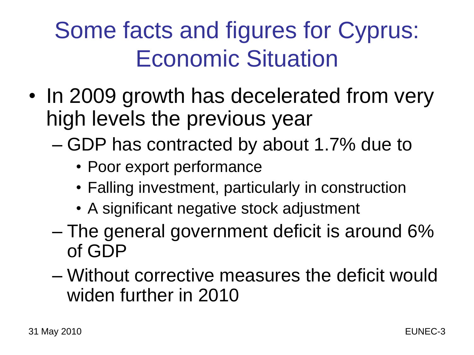## Some facts and figures for Cyprus: Economic Situation

- In 2009 growth has decelerated from very high levels the previous year
	- GDP has contracted by about 1.7% due to
		- Poor export performance
		- Falling investment, particularly in construction
		- A significant negative stock adjustment
	- The general government deficit is around 6% of GDP
	- Without corrective measures the deficit would widen further in 2010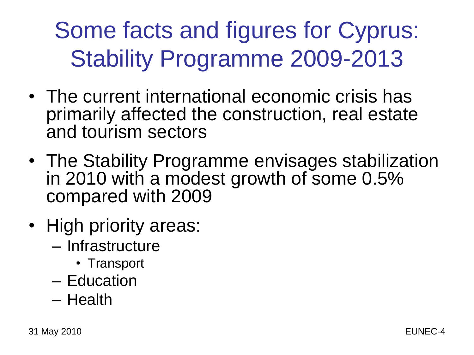## Some facts and figures for Cyprus: Stability Programme 2009-2013

- The current international economic crisis has primarily affected the construction, real estate and tourism sectors
- The Stability Programme envisages stabilization in 2010 with a modest growth of some 0.5% compared with 2009
- High priority areas:
	- Infrastructure
		- Transport
	- Education
	- Health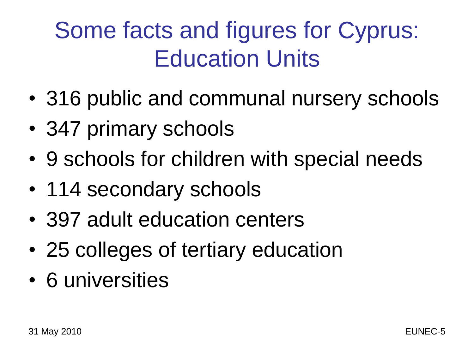## Some facts and figures for Cyprus: Education Units

- 316 public and communal nursery schools
- 347 primary schools
- 9 schools for children with special needs
- 114 secondary schools
- 397 adult education centers
- 25 colleges of tertiary education
- 6 universities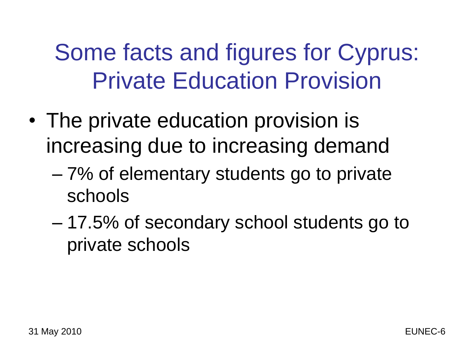## Some facts and figures for Cyprus: Private Education Provision

- The private education provision is increasing due to increasing demand
	- 7% of elementary students go to private schools
	- 17.5% of secondary school students go to private schools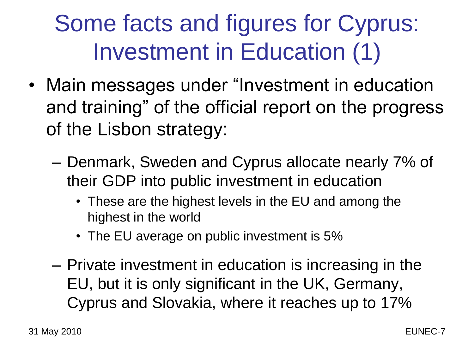## Some facts and figures for Cyprus: Investment in Education (1)

- Main messages under "Investment in education and training" of the official report on the progress of the Lisbon strategy:
	- Denmark, Sweden and Cyprus allocate nearly 7% of their GDP into public investment in education
		- These are the highest levels in the EU and among the highest in the world
		- The EU average on public investment is 5%
	- Private investment in education is increasing in the EU, but it is only significant in the UK, Germany, Cyprus and Slovakia, where it reaches up to 17%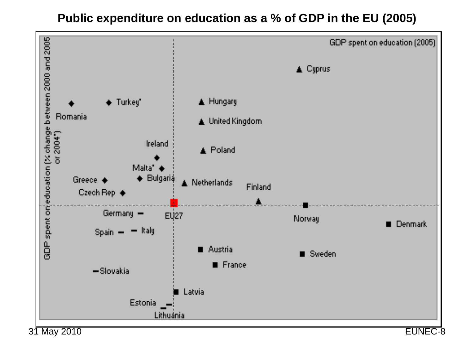#### **Public expenditure on education as a % of GDP in the EU (2005)**

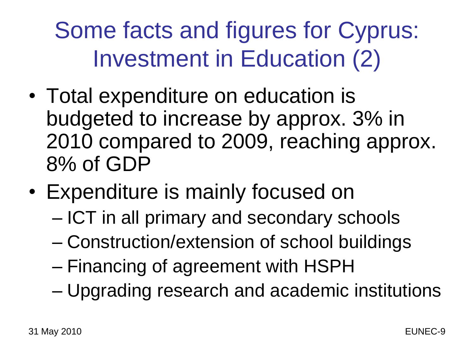Some facts and figures for Cyprus: Investment in Education (2)

- Total expenditure on education is budgeted to increase by approx. 3% in 2010 compared to 2009, reaching approx. 8% of GDP
- Expenditure is mainly focused on
	- ICT in all primary and secondary schools
	- Construction/extension of school buildings
	- Financing of agreement with HSPH
	- Upgrading research and academic institutions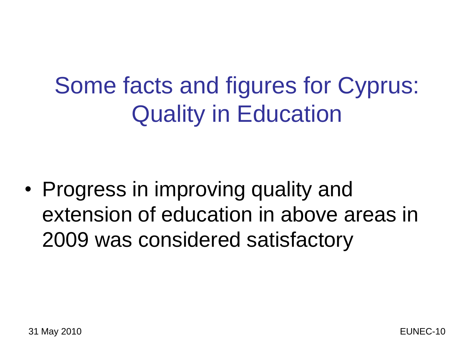Some facts and figures for Cyprus: Quality in Education

• Progress in improving quality and extension of education in above areas in 2009 was considered satisfactory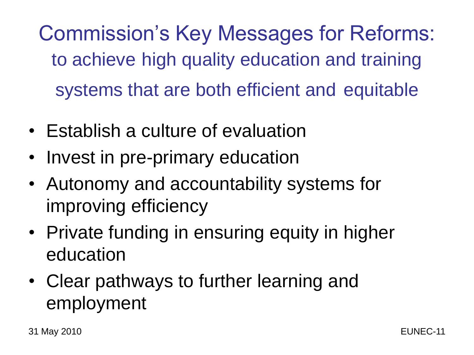Commission's Key Messages for Reforms: to achieve high quality education and training systems that are both efficient and equitable

- Establish a culture of evaluation
- Invest in pre-primary education
- Autonomy and accountability systems for improving efficiency
- Private funding in ensuring equity in higher education
- Clear pathways to further learning and employment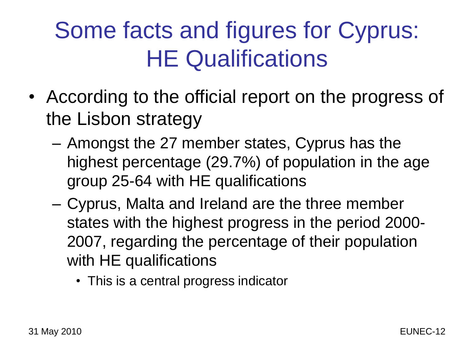## Some facts and figures for Cyprus: HE Qualifications

- According to the official report on the progress of the Lisbon strategy
	- Amongst the 27 member states, Cyprus has the highest percentage (29.7%) of population in the age group 25-64 with HE qualifications
	- Cyprus, Malta and Ireland are the three member states with the highest progress in the period 2000- 2007, regarding the percentage of their population with HE qualifications
		- This is a central progress indicator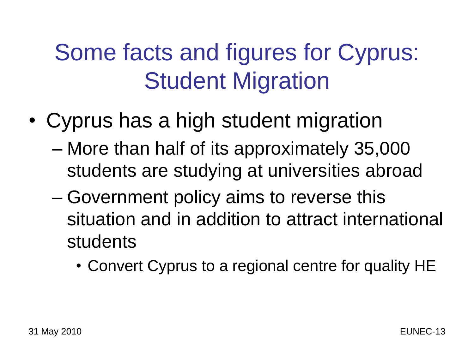## Some facts and figures for Cyprus: Student Migration

- Cyprus has a high student migration
	- More than half of its approximately 35,000 students are studying at universities abroad
	- Government policy aims to reverse this situation and in addition to attract international students
		- Convert Cyprus to a regional centre for quality HE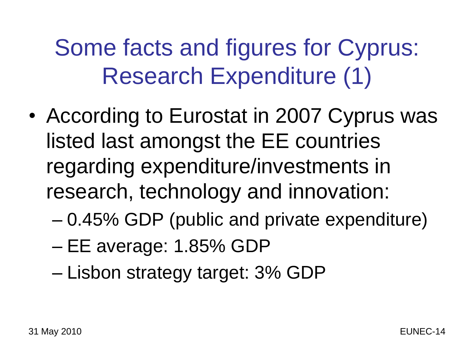Some facts and figures for Cyprus: Research Expenditure (1)

- According to Eurostat in 2007 Cyprus was listed last amongst the EE countries regarding expenditure/investments in research, technology and innovation:
	- 0.45% GDP (public and private expenditure)
	- EE average: 1.85% GDP
	- Lisbon strategy target: 3% GDP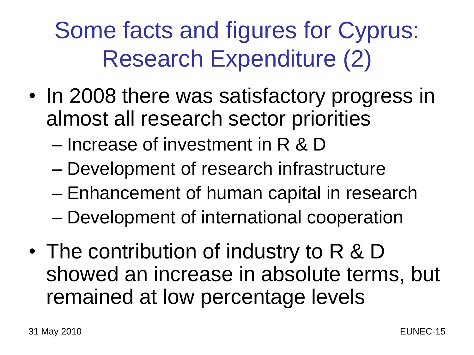Some facts and figures for Cyprus: Research Expenditure (2)

- In 2008 there was satisfactory progress in almost all research sector priorities
	- Increase of investment in R & D
	- Development of research infrastructure
	- Enhancement of human capital in research
	- Development of international cooperation
- The contribution of industry to R & D showed an increase in absolute terms, but remained at low percentage levels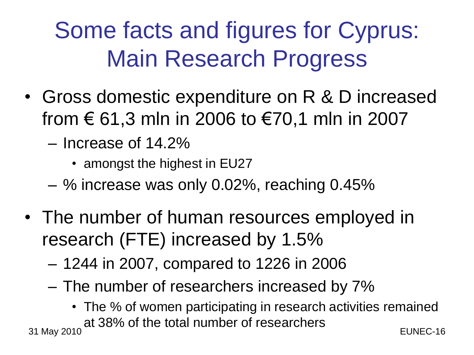## Some facts and figures for Cyprus: Main Research Progress

- Gross domestic expenditure on R & D increased from € 61,3 mln in 2006 to €70,1 mln in 2007
	- Increase of 14.2%
		- amongst the highest in EU27
	- % increase was only 0.02%, reaching 0.45%
- The number of human resources employed in research (FTE) increased by 1.5%
	- 1244 in 2007, compared to 1226 in 2006
	- The number of researchers increased by 7%
		- The % of women participating in research activities remained

31 May 2010 EUNEC-16 at 38% of the total number of researchers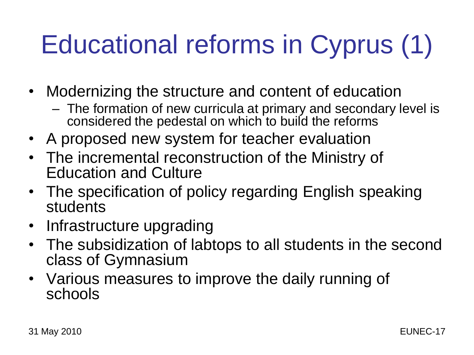# Educational reforms in Cyprus (1)

- Modernizing the structure and content of education
	- The formation of new curricula at primary and secondary level is considered the pedestal on which to build the reforms
- A proposed new system for teacher evaluation
- The incremental reconstruction of the Ministry of Education and Culture
- The specification of policy regarding English speaking students
- Infrastructure upgrading
- The subsidization of labtops to all students in the second class of Gymnasium
- Various measures to improve the daily running of schools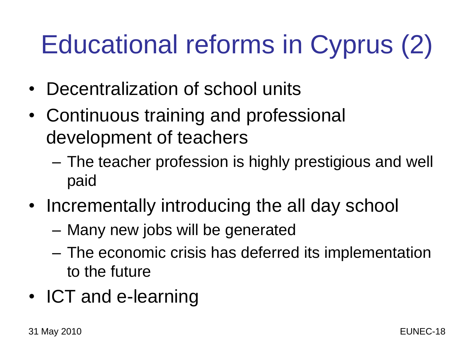## Educational reforms in Cyprus (2)

- Decentralization of school units
- Continuous training and professional development of teachers
	- The teacher profession is highly prestigious and well paid
- Incrementally introducing the all day school
	- Many new jobs will be generated
	- The economic crisis has deferred its implementation to the future
- ICT and e-learning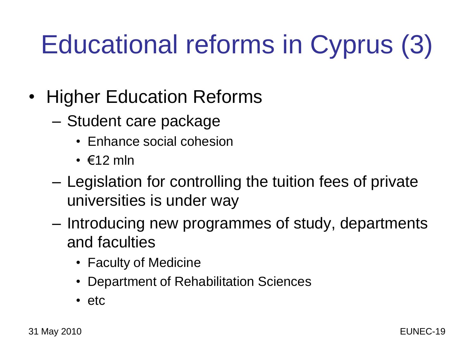# Educational reforms in Cyprus (3)

- Higher Education Reforms
	- Student care package
		- Enhance social cohesion
		- $\cdot$   $\epsilon$ 12 mln
	- Legislation for controlling the tuition fees of private universities is under way
	- Introducing new programmes of study, departments and faculties
		- Faculty of Medicine
		- Department of Rehabilitation Sciences
		- etc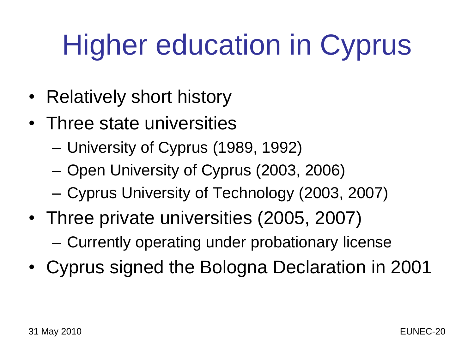# Higher education in Cyprus

- Relatively short history
- Three state universities
	- University of Cyprus (1989, 1992)
	- Open University of Cyprus (2003, 2006)
	- Cyprus University of Technology (2003, 2007)
- Three private universities (2005, 2007)
	- Currently operating under probationary license
- Cyprus signed the Bologna Declaration in 2001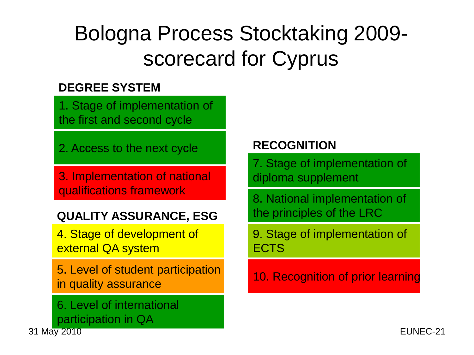### Bologna Process Stocktaking 2009 scorecard for Cyprus

#### **DEGREE SYSTEM**

1. Stage of implementation of the first and second cycle

2. Access to the next cycle

3. Implementation of national qualifications framework

### **QUALITY ASSURANCE, ESG**

4. Stage of development of external QA system

5. Level of student participation in quality assurance

6. Level of international participation in QA

### **RECOGNITION**

- 7. Stage of implementation of diploma supplement
- 8. National implementation of the principles of the LRC

9. Stage of implementation of ECTS

10. Recognition of prior learning

31 May 2010 EUNEC-21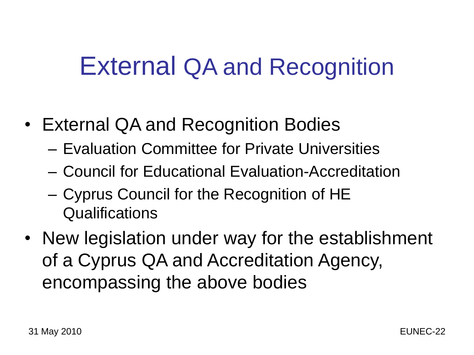## External QA and Recognition

- External QA and Recognition Bodies
	- Evaluation Committee for Private Universities
	- Council for Educational Evaluation-Accreditation
	- Cyprus Council for the Recognition of HE **Qualifications**
- New legislation under way for the establishment of a Cyprus QA and Accreditation Agency, encompassing the above bodies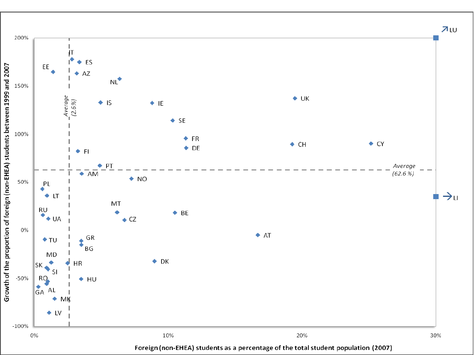

Foreign (non-EHEA) students as a percentage of the total student population (2007)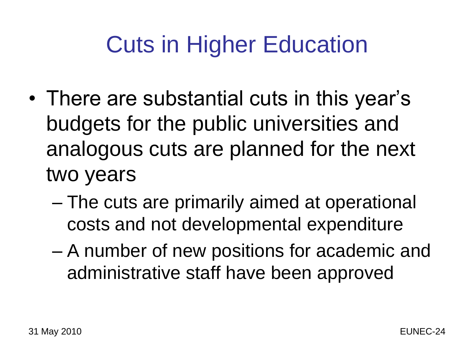## Cuts in Higher Education

- There are substantial cuts in this year's budgets for the public universities and analogous cuts are planned for the next two years
	- The cuts are primarily aimed at operational costs and not developmental expenditure
	- A number of new positions for academic and administrative staff have been approved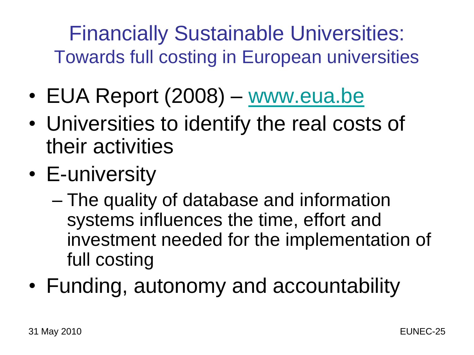Financially Sustainable Universities: Towards full costing in European universities

- EUA Report (2008) [www.eua.be](http://www.eua.be/)
- Universities to identify the real costs of their activities
- E-university
	- The quality of database and information systems influences the time, effort and investment needed for the implementation of full costing
- Funding, autonomy and accountability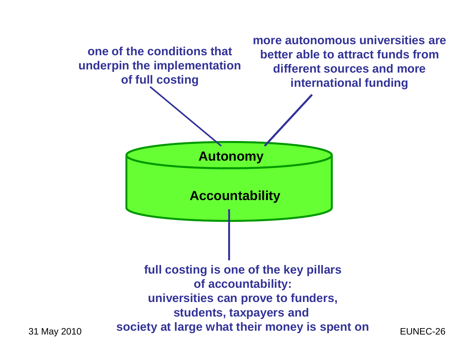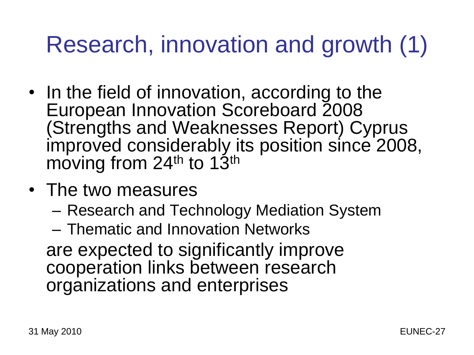## Research, innovation and growth (1)

- In the field of innovation, according to the European Innovation Scoreboard 2008 (Strengths and Weaknesses Report) Cyprus improved considerably its position since 2008, moving from 24<sup>th</sup> to 13<sup>th</sup>
- The two measures
	- Research and Technology Mediation System
	- Thematic and Innovation Networks

are expected to significantly improve cooperation links between research organizations and enterprises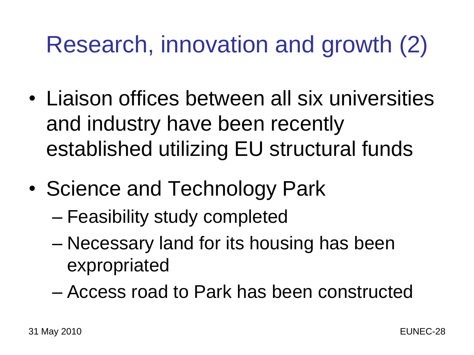## Research, innovation and growth (2)

- Liaison offices between all six universities and industry have been recently established utilizing EU structural funds
- Science and Technology Park
	- Feasibility study completed
	- Necessary land for its housing has been expropriated
	- Access road to Park has been constructed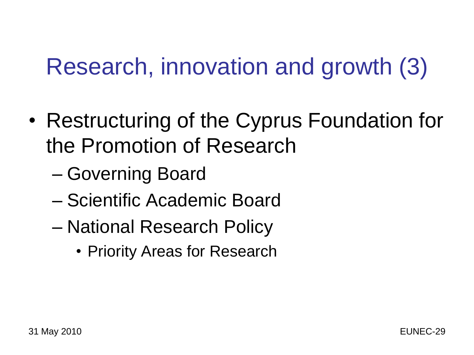### Research, innovation and growth (3)

- Restructuring of the Cyprus Foundation for the Promotion of Research
	- Governing Board
	- Scientific Academic Board
	- National Research Policy
		- Priority Areas for Research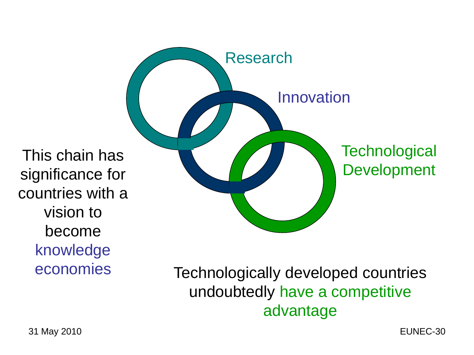

economies Technologically developed countries undoubtedly have a competitive advantage

This chain has significance for countries with a vision to become knowledge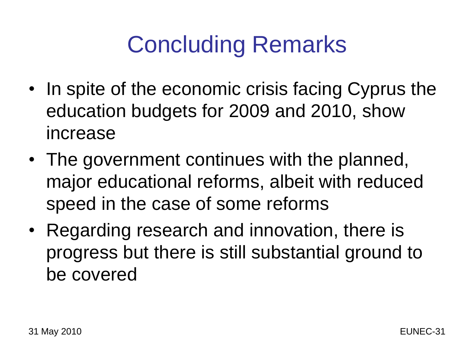## Concluding Remarks

- In spite of the economic crisis facing Cyprus the education budgets for 2009 and 2010, show increase
- The government continues with the planned, major educational reforms, albeit with reduced speed in the case of some reforms
- Regarding research and innovation, there is progress but there is still substantial ground to be covered